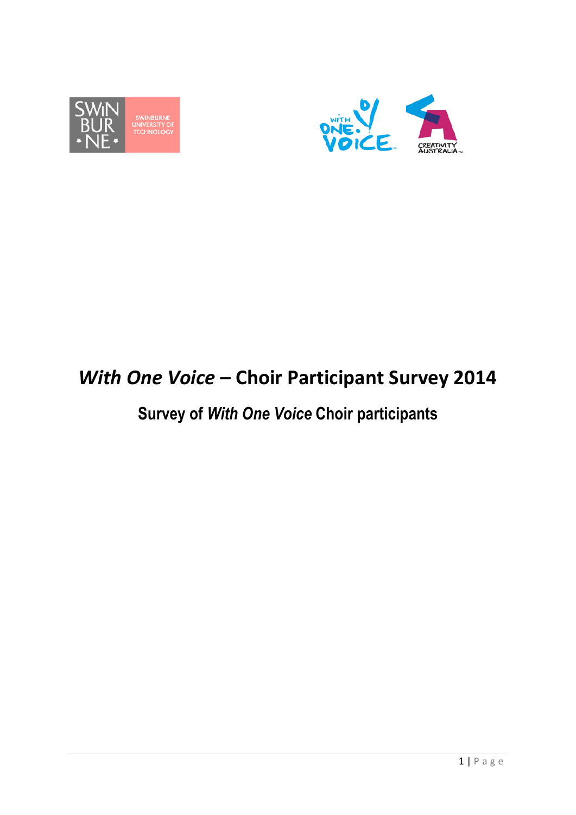



# *With One Voice –* **Choir Participant Survey 2014**

# **Survey of** *With One Voice* **Choir participants**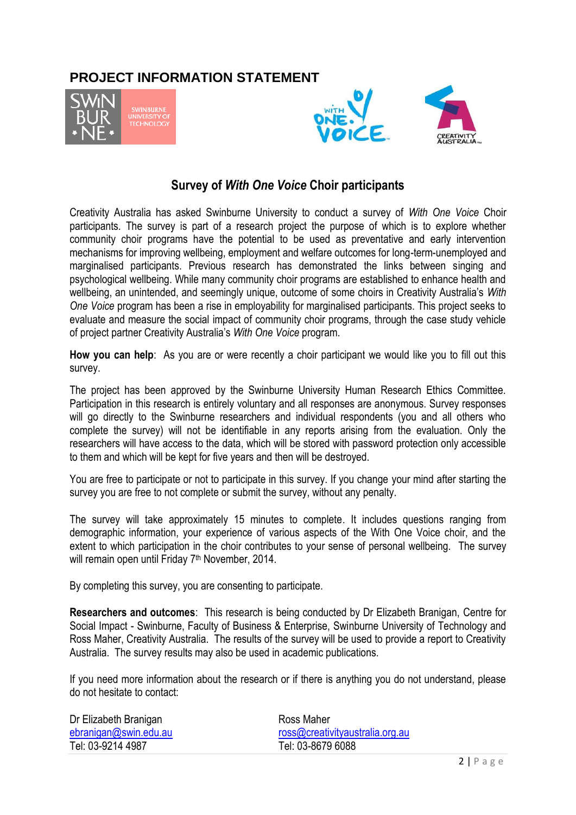## **PROJECT INFORMATION STATEMENT**





### **Survey of** *With One Voice* **Choir participants**

Creativity Australia has asked Swinburne University to conduct a survey of *With One Voice* Choir participants. The survey is part of a research project the purpose of which is to explore whether community choir programs have the potential to be used as preventative and early intervention mechanisms for improving wellbeing, employment and welfare outcomes for long-term-unemployed and marginalised participants. Previous research has demonstrated the links between singing and psychological wellbeing. While many community choir programs are established to enhance health and wellbeing, an unintended, and seemingly unique, outcome of some choirs in Creativity Australia's *With One Voice* program has been a rise in employability for marginalised participants. This project seeks to evaluate and measure the social impact of community choir programs, through the case study vehicle of project partner Creativity Australia's *With One Voice* program.

**How you can help**: As you are or were recently a choir participant we would like you to fill out this survey.

The project has been approved by the Swinburne University Human Research Ethics Committee. Participation in this research is entirely voluntary and all responses are anonymous. Survey responses will go directly to the Swinburne researchers and individual respondents (you and all others who complete the survey) will not be identifiable in any reports arising from the evaluation. Only the researchers will have access to the data, which will be stored with password protection only accessible to them and which will be kept for five years and then will be destroyed.

You are free to participate or not to participate in this survey. If you change your mind after starting the survey you are free to not complete or submit the survey, without any penalty.

The survey will take approximately 15 minutes to complete. It includes questions ranging from demographic information, your experience of various aspects of the With One Voice choir, and the extent to which participation in the choir contributes to your sense of personal wellbeing. The survey will remain open until Friday 7<sup>th</sup> November, 2014.

By completing this survey, you are consenting to participate.

**Researchers and outcomes**: This research is being conducted by Dr Elizabeth Branigan, Centre for Social Impact - Swinburne, Faculty of Business & Enterprise, Swinburne University of Technology and Ross Maher, Creativity Australia. The results of the survey will be used to provide a report to Creativity Australia. The survey results may also be used in academic publications.

If you need more information about the research or if there is anything you do not understand, please do not hesitate to contact:

| Dr Elizabeth Branigan | Ross Maher                      |
|-----------------------|---------------------------------|
| ebranigan@swin.edu.au | ross@creativityaustralia.org.au |
| Tel: 03-9214 4987     | Tel: 03-8679 6088               |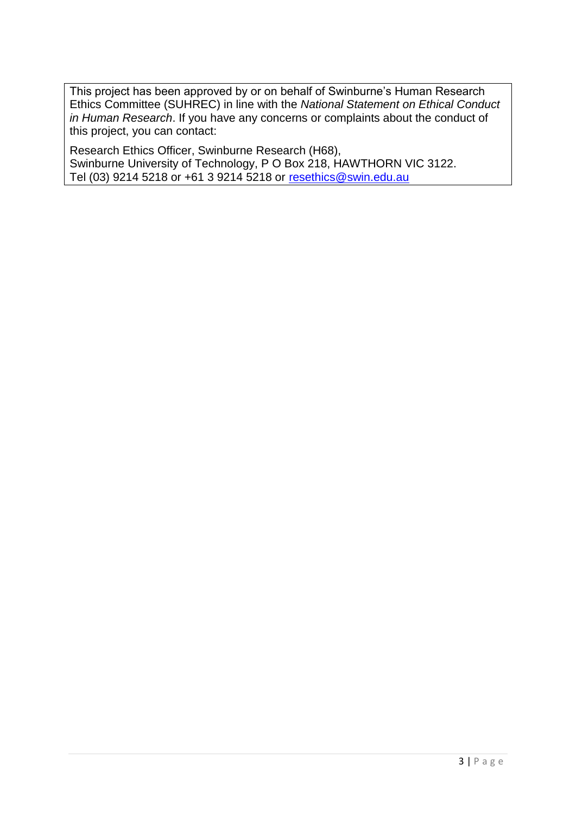This project has been approved by or on behalf of Swinburne's Human Research Ethics Committee (SUHREC) in line with the *National Statement on Ethical Conduct in Human Research*. If you have any concerns or complaints about the conduct of this project, you can contact:

Research Ethics Officer, Swinburne Research (H68), Swinburne University of Technology, P O Box 218, HAWTHORN VIC 3122. Tel (03) 9214 5218 or +61 3 9214 5218 or [resethics@swin.edu.au](mailto:resethics@swin.edu.au)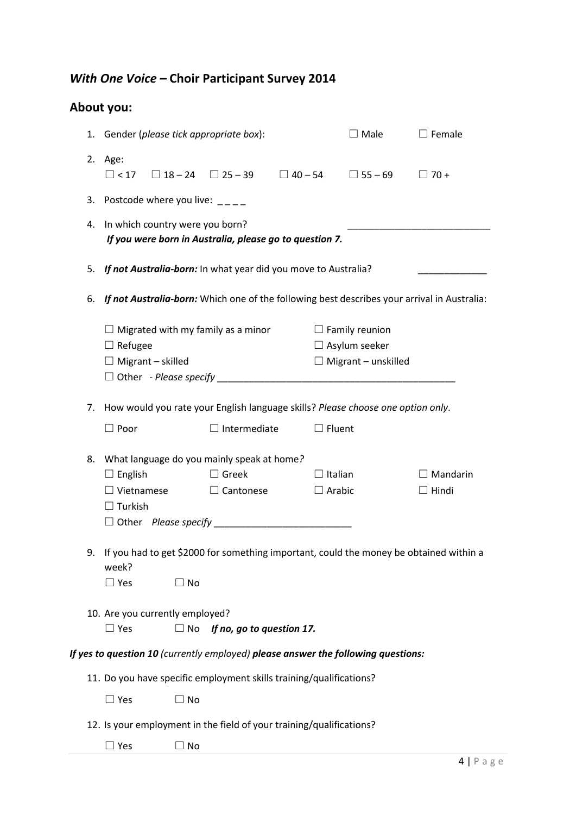## *With One Voice –* **Choir Participant Survey 2014**

# **About you:**

|    | 1. Gender (please tick appropriate box):                                                                                      |                           |                                 | $\Box$ Male                                                                 | $\square$ Female                |
|----|-------------------------------------------------------------------------------------------------------------------------------|---------------------------|---------------------------------|-----------------------------------------------------------------------------|---------------------------------|
|    | 2. Age:<br>$\Box$ < 17 $\Box$ 18 – 24 $\Box$ 25 – 39 $\Box$ 40 – 54                                                           |                           |                                 | $\Box$ 55 – 69                                                              | $\Box$ 70 +                     |
|    | 3. Postcode where you live: $\frac{1}{2}$                                                                                     |                           |                                 |                                                                             |                                 |
| 4. | In which country were you born?<br>If you were born in Australia, please go to question 7.                                    |                           |                                 |                                                                             |                                 |
|    | 5. If not Australia-born: In what year did you move to Australia?                                                             |                           |                                 |                                                                             |                                 |
| 6. | If not Australia-born: Which one of the following best describes your arrival in Australia:                                   |                           |                                 |                                                                             |                                 |
|    | $\Box$ Migrated with my family as a minor<br>$\Box$ Refugee<br>$\Box$ Migrant – skilled                                       |                           |                                 | $\Box$ Family reunion<br>$\Box$ Asylum seeker<br>$\Box$ Migrant – unskilled |                                 |
|    | 7. How would you rate your English language skills? Please choose one option only.                                            |                           |                                 |                                                                             |                                 |
|    | $\Box$ Poor                                                                                                                   | $\Box$ Intermediate       | $\Box$ Fluent                   |                                                                             |                                 |
|    | 8. What language do you mainly speak at home?<br>$\Box$ Greek<br>$\Box$ English<br>$\Box$ Vietnamese<br>$\Box$ Turkish        | $\Box$ Cantonese          | $\Box$ Italian<br>$\Box$ Arabic |                                                                             | $\Box$ Mandarin<br>$\Box$ Hindi |
|    | 9. If you had to get \$2000 for something important, could the money be obtained within a<br>week?<br>$\Box$ Yes<br>$\Box$ No |                           |                                 |                                                                             |                                 |
|    | 10. Are you currently employed?<br>$\Box$ Yes<br>$\Box$ No                                                                    | If no, go to question 17. |                                 |                                                                             |                                 |
|    | If yes to question 10 (currently employed) please answer the following questions:                                             |                           |                                 |                                                                             |                                 |
|    | 11. Do you have specific employment skills training/qualifications?<br>$\Box$ Yes<br>$\Box$ No                                |                           |                                 |                                                                             |                                 |
|    | 12. Is your employment in the field of your training/qualifications?                                                          |                           |                                 |                                                                             |                                 |
|    | $\Box$ Yes<br>$\sqsupset$ No                                                                                                  |                           |                                 |                                                                             |                                 |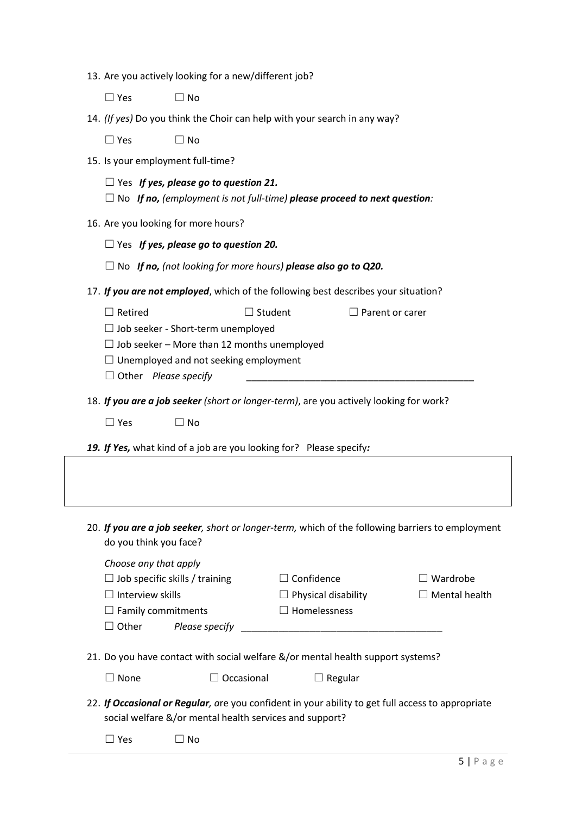|                                                                                          | 13. Are you actively looking for a new/different job?                                                                                                        |                            |                 |                         |
|------------------------------------------------------------------------------------------|--------------------------------------------------------------------------------------------------------------------------------------------------------------|----------------------------|-----------------|-------------------------|
| $\Box$ Yes                                                                               | $\Box$ No                                                                                                                                                    |                            |                 |                         |
|                                                                                          | 14. (If yes) Do you think the Choir can help with your search in any way?                                                                                    |                            |                 |                         |
| $\Box$ Yes                                                                               | $\Box$ No                                                                                                                                                    |                            |                 |                         |
|                                                                                          | 15. Is your employment full-time?                                                                                                                            |                            |                 |                         |
|                                                                                          | $\Box$ Yes If yes, please go to question 21.                                                                                                                 |                            |                 |                         |
|                                                                                          | $\Box$ No If no, (employment is not full-time) please proceed to next question:                                                                              |                            |                 |                         |
|                                                                                          | 16. Are you looking for more hours?                                                                                                                          |                            |                 |                         |
|                                                                                          | $\Box$ Yes If yes, please go to question 20.                                                                                                                 |                            |                 |                         |
|                                                                                          | $\Box$ No If no, (not looking for more hours) please also go to Q20.                                                                                         |                            |                 |                         |
|                                                                                          | 17. If you are not employed, which of the following best describes your situation?                                                                           |                            |                 |                         |
| $\Box$ Retired                                                                           | $\Box$                                                                                                                                                       | Student                    | Parent or carer |                         |
|                                                                                          | $\Box$ Job seeker - Short-term unemployed                                                                                                                    |                            |                 |                         |
|                                                                                          | $\Box$ Job seeker – More than 12 months unemployed                                                                                                           |                            |                 |                         |
|                                                                                          | $\Box$ Unemployed and not seeking employment                                                                                                                 |                            |                 |                         |
| $\Box$ Other Please specify                                                              |                                                                                                                                                              |                            |                 |                         |
| $\Box$ Yes                                                                               | $\Box$ No                                                                                                                                                    |                            |                 |                         |
|                                                                                          | 19. If Yes, what kind of a job are you looking for? Please specify:                                                                                          |                            |                 |                         |
| do you think you face?<br>Choose any that apply<br>$\Box$ Job specific skills / training | 20. If you are a job seeker, short or longer-term, which of the following barriers to employment                                                             | $\Box$ Confidence          |                 | $\exists$ Wardrobe      |
| $\Box$ Interview skills                                                                  |                                                                                                                                                              | $\Box$ Physical disability |                 |                         |
| $\Box$ Family commitments<br>$\Box$ Other                                                |                                                                                                                                                              | $\Box$ Homelessness        |                 |                         |
|                                                                                          | Please specify                                                                                                                                               |                            |                 |                         |
|                                                                                          | 21. Do you have contact with social welfare &/or mental health support systems?                                                                              |                            |                 | $\exists$ Mental health |
| $\Box$ None                                                                              | $\Box$ Occasional                                                                                                                                            |                            | $\Box$ Regular  |                         |
|                                                                                          | 22. If Occasional or Regular, are you confident in your ability to get full access to appropriate<br>social welfare &/or mental health services and support? |                            |                 |                         |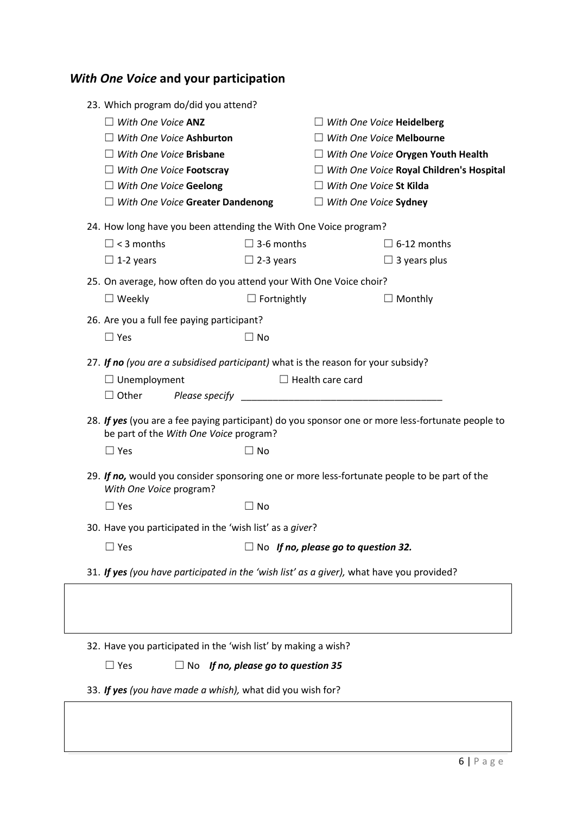| <b>With One Voice and your participation</b> |  |  |
|----------------------------------------------|--|--|
|----------------------------------------------|--|--|

| 23. Which program do/did you attend?<br>$\Box$ With One Voice ANZ<br>$\Box$ With One Voice Ashburton<br>$\Box$ With One Voice Brisbane<br>$\Box$ With One Voice Footscray<br>$\Box$ With One Voice Geelong<br>$\Box$ With One Voice Greater Dandenong |                                           | $\Box$ With One Voice Heidelberg<br>$\Box$ With One Voice Melbourne<br>$\Box$ With One Voice Orygen Youth Health<br>$\Box$ With One Voice Royal Children's Hospital<br>$\Box$ With One Voice St Kilda<br>$\Box$ With One Voice Sydney |
|-------------------------------------------------------------------------------------------------------------------------------------------------------------------------------------------------------------------------------------------------------|-------------------------------------------|---------------------------------------------------------------------------------------------------------------------------------------------------------------------------------------------------------------------------------------|
| 24. How long have you been attending the With One Voice program?<br>$\Box$ < 3 months<br>$\Box$ 1-2 years                                                                                                                                             | $\Box$ 3-6 months<br>$\Box$ 2-3 years     | $\Box$ 6-12 months<br>$\Box$ 3 years plus                                                                                                                                                                                             |
| 25. On average, how often do you attend your With One Voice choir?<br>$\Box$ Weekly                                                                                                                                                                   | $\Box$ Fortnightly                        | Monthly                                                                                                                                                                                                                               |
| 26. Are you a full fee paying participant?<br>$\Box$ Yes                                                                                                                                                                                              | $\Box$ No                                 |                                                                                                                                                                                                                                       |
| 27. If no (you are a subsidised participant) what is the reason for your subsidy?<br>$\Box$ Unemployment<br>$\Box$ Other                                                                                                                              |                                           | $\Box$ Health care card<br>28. If yes (you are a fee paying participant) do you sponsor one or more less-fortunate people to                                                                                                          |
| be part of the With One Voice program?<br>$\Box$ Yes                                                                                                                                                                                                  | $\Box$ No                                 |                                                                                                                                                                                                                                       |
| With One Voice program?                                                                                                                                                                                                                               |                                           | 29. If no, would you consider sponsoring one or more less-fortunate people to be part of the                                                                                                                                          |
| $\Box$ Yes                                                                                                                                                                                                                                            | $\Box$ No                                 |                                                                                                                                                                                                                                       |
| 30. Have you participated in the 'wish list' as a giver?                                                                                                                                                                                              |                                           |                                                                                                                                                                                                                                       |
| $\Box$ Yes                                                                                                                                                                                                                                            |                                           | $\Box$ No If no, please go to question 32.                                                                                                                                                                                            |
|                                                                                                                                                                                                                                                       |                                           | 31. If yes (you have participated in the 'wish list' as a giver), what have you provided?                                                                                                                                             |
|                                                                                                                                                                                                                                                       |                                           |                                                                                                                                                                                                                                       |
| 32. Have you participated in the 'wish list' by making a wish?<br>$\Box$ Yes                                                                                                                                                                          | $\Box$ No If no, please go to question 35 |                                                                                                                                                                                                                                       |

33. *If yes (you have made a whish),* what did you wish for?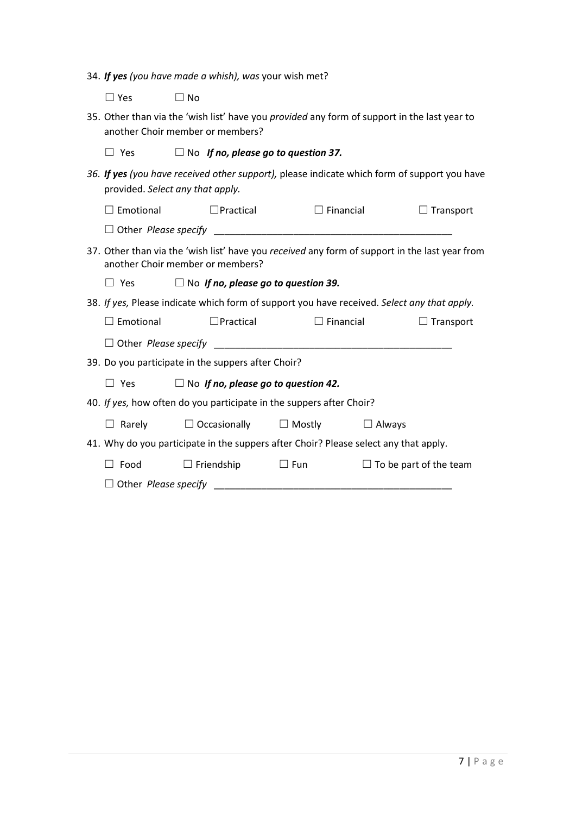|  | 34. If yes (you have made a whish), was your wish met? |  |  |  |
|--|--------------------------------------------------------|--|--|--|
|  |                                                        |  |  |  |

☐ Yes ☐ No

| 35. Other than via the 'wish list' have you <i>provided</i> any form of support in the last year to |  |
|-----------------------------------------------------------------------------------------------------|--|
| another Choir member or members?                                                                    |  |

| $\Box$ Yes |  | $\Box$ No If no, please go to question 37. |  |
|------------|--|--------------------------------------------|--|
|------------|--|--------------------------------------------|--|

*36. If yes (you have received other support),* please indicate which form of support you have provided. *Select any that apply.*

| Emotional                                                                                                                          | $\Box$ Practical                           | $\Box$ Financial |                               | $\Box$ Transport |
|------------------------------------------------------------------------------------------------------------------------------------|--------------------------------------------|------------------|-------------------------------|------------------|
|                                                                                                                                    |                                            |                  |                               |                  |
| 37. Other than via the 'wish list' have you received any form of support in the last year from<br>another Choir member or members? |                                            |                  |                               |                  |
| ∟l Yes                                                                                                                             | $\Box$ No If no, please go to question 39. |                  |                               |                  |
| 38. If yes, Please indicate which form of support you have received. Select any that apply.                                        |                                            |                  |                               |                  |
| $\Box$ Emotional                                                                                                                   | $\Box$ Practical                           | $\Box$ Financial |                               | $\Box$ Transport |
| $\Box$ Other Please specify $\Box$                                                                                                 |                                            |                  |                               |                  |
| 39. Do you participate in the suppers after Choir?                                                                                 |                                            |                  |                               |                  |
| $\Box$ Yes                                                                                                                         | $\Box$ No If no, please go to question 42. |                  |                               |                  |
| 40. If yes, how often do you participate in the suppers after Choir?                                                               |                                            |                  |                               |                  |
| $\Box$ Rarely $\Box$ Occasionally $\Box$ Mostly $\Box$ Always                                                                      |                                            |                  |                               |                  |
| 41. Why do you participate in the suppers after Choir? Please select any that apply.                                               |                                            |                  |                               |                  |
| $\Box$ Food                                                                                                                        | $\Box$ Friendship                          | $\Box$ Fun       | $\Box$ To be part of the team |                  |
|                                                                                                                                    |                                            |                  |                               |                  |
|                                                                                                                                    |                                            |                  |                               |                  |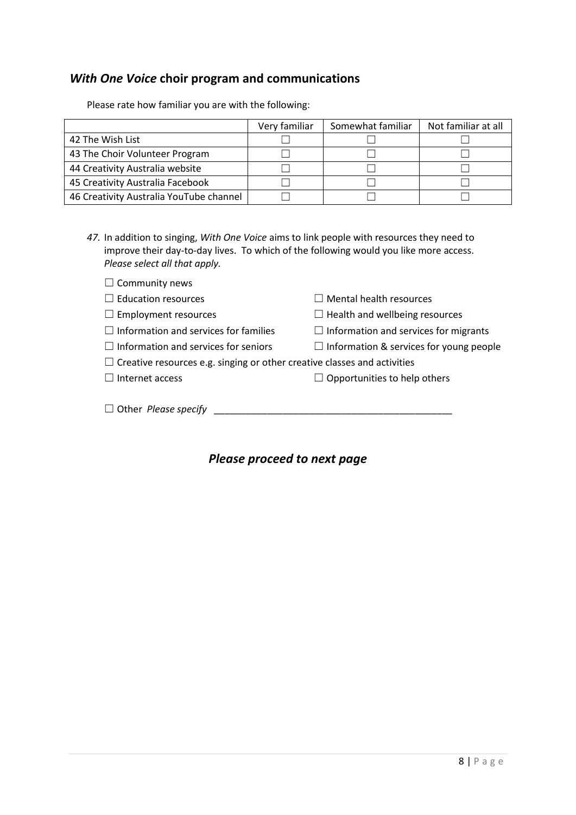## *With One Voice* **choir program and communications**

Please rate how familiar you are with the following:

|                                         | Very familiar | Somewhat familiar | Not familiar at all |
|-----------------------------------------|---------------|-------------------|---------------------|
| 42 The Wish List                        |               |                   |                     |
| 43 The Choir Volunteer Program          |               |                   |                     |
| 44 Creativity Australia website         |               |                   |                     |
| 45 Creativity Australia Facebook        |               |                   |                     |
| 46 Creativity Australia YouTube channel |               |                   |                     |

*47.* In addition to singing, *With One Voice* aims to link people with resources they need to improve their day-to-day lives. To which of the following would you like more access. *Please select all that apply.*

□ Community news

| $\Box$ Education resources                                                      | $\Box$ Mental health resources                 |
|---------------------------------------------------------------------------------|------------------------------------------------|
| $\Box$ Employment resources                                                     | $\Box$ Health and wellbeing resources          |
| $\Box$ Information and services for families                                    | $\Box$ Information and services for migrants   |
| $\Box$ Information and services for seniors                                     | $\Box$ Information & services for young people |
| $\Box$ Creative resources e.g. singing or other creative classes and activities |                                                |
| $\Box$ Internet access                                                          | $\Box$ Opportunities to help others            |
| $\Box$ Other <i>Please specify</i>                                              |                                                |

*Please proceed to next page*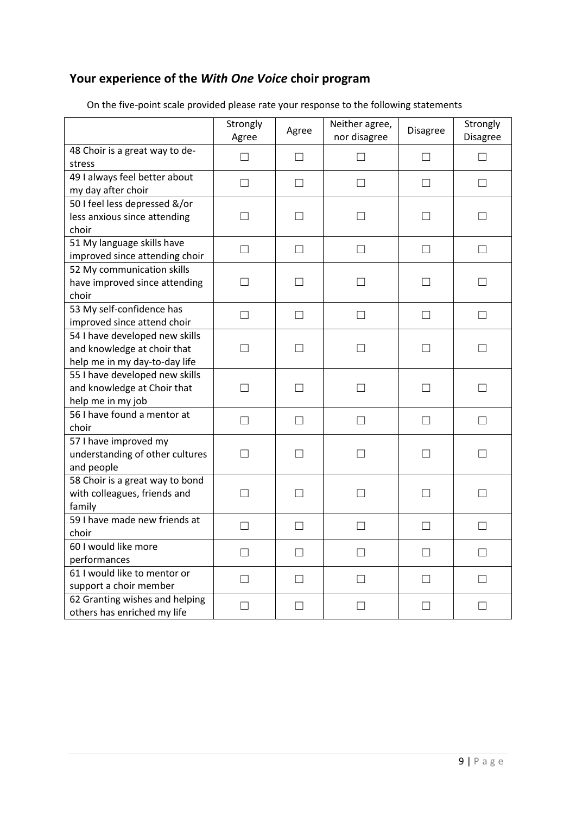## **Your experience of the** *With One Voice* **choir program**

|                                                                                                | Strongly<br>Agree | Agree        | Neither agree,<br>nor disagree | <b>Disagree</b>   | Strongly<br>Disagree |
|------------------------------------------------------------------------------------------------|-------------------|--------------|--------------------------------|-------------------|----------------------|
| 48 Choir is a great way to de-<br>stress                                                       | П                 | $\Box$       | П                              | П                 | $\Box$               |
| 49 I always feel better about<br>my day after choir                                            | П                 | П            | П                              | П                 | П                    |
| 50 I feel less depressed &/or<br>less anxious since attending<br>choir                         | $\vert \ \ \vert$ | $\perp$      | П                              | $\Box$            | $\mathsf{L}$         |
| 51 My language skills have<br>improved since attending choir                                   | $\Box$            | $\Box$       | $\Box$                         | $\Box$            | $\Box$               |
| 52 My communication skills<br>have improved since attending<br>choir                           | П                 | П            | П                              | П                 | П                    |
| 53 My self-confidence has<br>improved since attend choir                                       | П                 | П            | П                              | П                 | П                    |
| 54 I have developed new skills<br>and knowledge at choir that<br>help me in my day-to-day life | $\Box$            | $\perp$      | П                              | $\vert \ \ \vert$ | $\perp$              |
| 55 I have developed new skills<br>and knowledge at Choir that<br>help me in my job             | П                 | П            | П                              | П                 | П                    |
| 56 I have found a mentor at<br>choir                                                           | П                 | П            | П                              | П                 | П                    |
| 57 I have improved my<br>understanding of other cultures<br>and people                         | $\vert \ \ \vert$ | $\mathsf{L}$ | П                              | $\Box$            | $\vert \ \ \vert$    |
| 58 Choir is a great way to bond<br>with colleagues, friends and<br>family                      | П                 | П            | П                              | П                 | П                    |
| 59 I have made new friends at<br>choir                                                         | П                 | $\Box$       | П                              | П                 | П                    |
| 60 I would like more<br>performances                                                           | $\vert \ \ \vert$ | П            | $\mathsf{L}$                   |                   | $\mathsf{L}$         |
| 61 I would like to mentor or<br>support a choir member                                         | $\Box$            | $\perp$      | $\mathsf{L}$                   | $\vert \ \ \vert$ |                      |
| 62 Granting wishes and helping<br>others has enriched my life                                  | $\Box$            | П            | $\Box$                         | $\Box$            | П                    |

On the five-point scale provided please rate your response to the following statements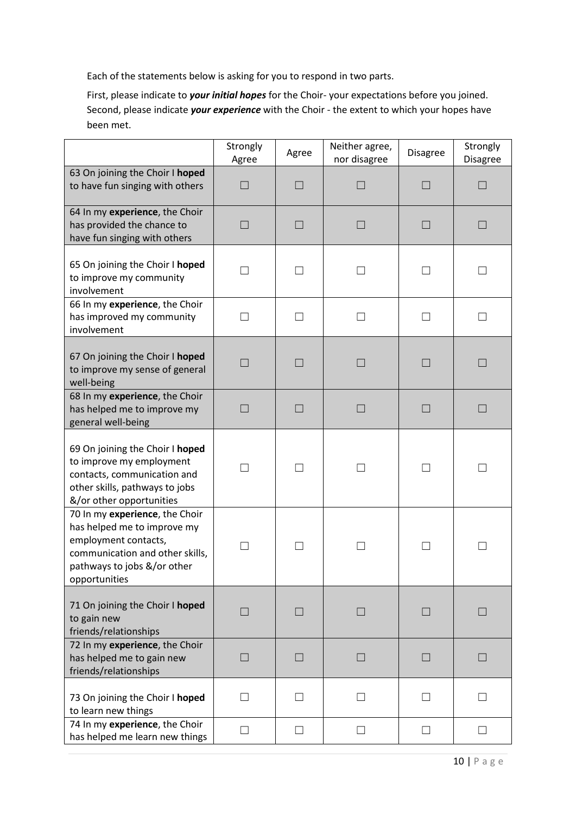Each of the statements below is asking for you to respond in two parts.

First, please indicate to *your initial hopes* for the Choir- your expectations before you joined. Second, please indicate *your experience* with the Choir - the extent to which your hopes have been met.

|                                                                                                                                                                          | Strongly<br>Agree        | Agree        | Neither agree,<br>nor disagree | <b>Disagree</b>          | Strongly<br>Disagree |
|--------------------------------------------------------------------------------------------------------------------------------------------------------------------------|--------------------------|--------------|--------------------------------|--------------------------|----------------------|
| 63 On joining the Choir I hoped<br>to have fun singing with others                                                                                                       |                          |              |                                | $\overline{\phantom{a}}$ |                      |
| 64 In my experience, the Choir<br>has provided the chance to<br>have fun singing with others                                                                             |                          |              | $\Box$                         | $\Box$                   |                      |
| 65 On joining the Choir I hoped<br>to improve my community<br>involvement                                                                                                |                          | $\mathbf{I}$ |                                | $\Box$                   |                      |
| 66 In my experience, the Choir<br>has improved my community<br>involvement                                                                                               | $\Box$                   | $\mathsf{L}$ |                                | $\vert \ \ \vert$        | $\mathcal{L}$        |
| 67 On joining the Choir I hoped<br>to improve my sense of general<br>well-being                                                                                          | H                        | L.           | $\mathsf{L}$                   | $\vert \ \ \vert$        |                      |
| 68 In my experience, the Choir<br>has helped me to improve my<br>general well-being                                                                                      | a.                       | H            | $\mathsf{L}$                   | $\Box$                   | L.                   |
| 69 On joining the Choir I hoped<br>to improve my employment<br>contacts, communication and<br>other skills, pathways to jobs<br>&/or other opportunities                 | $\mathcal{L}$            | n l          |                                | $\Box$                   |                      |
| 70 In my experience, the Choir<br>has helped me to improve my<br>employment contacts,<br>communication and other skills,<br>pathways to jobs &/or other<br>opportunities |                          |              |                                |                          |                      |
| 71 On joining the Choir I hoped<br>to gain new<br>friends/relationships                                                                                                  | $\vert \ \ \vert$        | $\Box$       | $\Box$                         | $\vert \ \ \vert$        | $\Box$               |
| 72 In my experience, the Choir<br>has helped me to gain new<br>friends/relationships                                                                                     | a a                      | L.           | $\mathsf{L}$                   | $\vert \ \ \vert$        |                      |
| 73 On joining the Choir I hoped<br>to learn new things                                                                                                                   | $\overline{\phantom{a}}$ | $\mathsf{L}$ |                                | $\vert \ \ \vert$        |                      |
| 74 In my experience, the Choir<br>has helped me learn new things                                                                                                         | $\mathcal{L}$            | $\perp$      |                                | $\vert \ \ \vert$        |                      |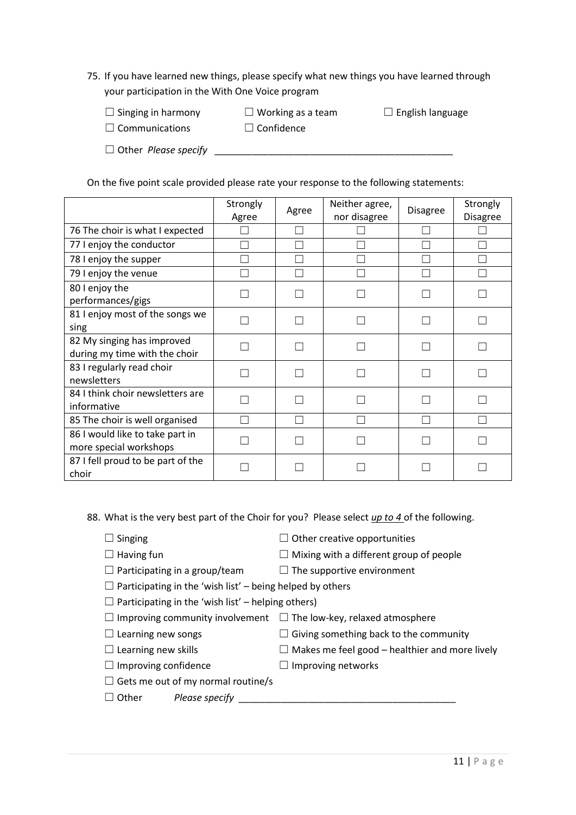75. If you have learned new things, please specify what new things you have learned through your participation in the With One Voice program

| $\Box$ Singing in harmony   | $\Box$ Working as a team | $\Box$ English language |
|-----------------------------|--------------------------|-------------------------|
| $\Box$ Communications       | $\Box$ Confidence        |                         |
| $\Box$ Other Please specify |                          |                         |

On the five point scale provided please rate your response to the following statements:

|                                                             | Strongly<br>Agree | Agree | Neither agree,<br>nor disagree | <b>Disagree</b> | Strongly<br><b>Disagree</b> |
|-------------------------------------------------------------|-------------------|-------|--------------------------------|-----------------|-----------------------------|
| 76 The choir is what I expected                             |                   |       |                                |                 |                             |
| 77 I enjoy the conductor                                    |                   |       |                                |                 |                             |
| 78 I enjoy the supper                                       |                   |       |                                |                 |                             |
| 79 I enjoy the venue                                        |                   |       |                                |                 |                             |
| 80 I enjoy the<br>performances/gigs                         |                   |       |                                |                 |                             |
| 81 I enjoy most of the songs we<br>sing                     |                   |       |                                |                 |                             |
| 82 My singing has improved<br>during my time with the choir |                   |       |                                |                 |                             |
| 83 I regularly read choir<br>newsletters                    |                   |       |                                |                 |                             |
| 84 I think choir newsletters are<br>informative             |                   |       |                                |                 |                             |
| 85 The choir is well organised                              |                   |       |                                |                 |                             |
| 86 I would like to take part in<br>more special workshops   |                   |       |                                |                 |                             |
| 87 I fell proud to be part of the<br>choir                  |                   |       |                                |                 |                             |

88. What is the very best part of the Choir for you? Please select *up to 4* of the following.

- 
- ☐ Singing ☐ Other creative opportunities
- ☐ Having fun ☐ Mixing with a different group of people
- 
- $\Box$  Participating in a group/team  $\Box$  The supportive environment
- $\Box$  Participating in the 'wish list' being helped by others
- $\Box$  Participating in the 'wish list' helping others)
- $\Box$  Improving community involvement  $\Box$  The low-key, relaxed atmosphere
- $\Box$  Learning new songs  $\Box$  Giving something back to the community
- $\Box$  Learning new skills  $\Box$  Makes me feel good healthier and more lively
- ☐ Improving confidence ☐ Improving networks
- $\Box$  Gets me out of my normal routine/s
- ☐ Other *Please specify* \_\_\_\_\_\_\_\_\_\_\_\_\_\_\_\_\_\_\_\_\_\_\_\_\_\_\_\_\_\_\_\_\_\_\_\_\_\_\_\_\_